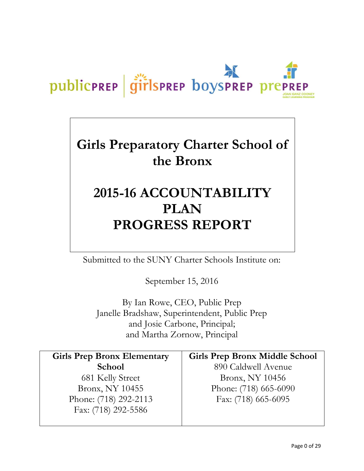# publicPREP | girlsPREP boysPREP prePREP

# **Girls Preparatory Charter School of the Bronx**

# **2015-16 ACCOUNTABILITY PLAN PROGRESS REPORT**

Submitted to the SUNY Charter Schools Institute on:

September 15, 2016

By Ian Rowe, CEO, Public Prep Janelle Bradshaw, Superintendent, Public Prep and Josie Carbone, Principal; and Martha Zornow, Principal

| <b>Girls Prep Bronx Elementary</b> | <b>Girls Prep Bronx Middle School</b> |
|------------------------------------|---------------------------------------|
| <b>School</b>                      | 890 Caldwell Avenue                   |
| 681 Kelly Street                   | Bronx, NY 10456                       |
| Bronx, NY 10455                    | Phone: (718) 665-6090                 |
| Phone: (718) 292-2113              | Fax: (718) 665-6095                   |
| Fax: (718) 292-5586                |                                       |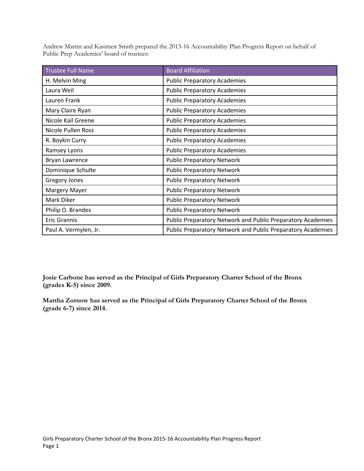Andrew Martin and Kasimeir Smith prepared the 2015-16 Accountability Plan Progress Report on behalf of Public Prep Academies' board of trustees:

| <b>Trustee Full Name</b> | <b>Board Affiliation</b>                                    |
|--------------------------|-------------------------------------------------------------|
| H. Melvin Ming           | <b>Public Preparatory Academies</b>                         |
| Laura Weil               | <b>Public Preparatory Academies</b>                         |
| Lauren Frank             | <b>Public Preparatory Academies</b>                         |
| Mary Claire Ryan         | <b>Public Preparatory Academies</b>                         |
| Nicole Kail Greene       | <b>Public Preparatory Academies</b>                         |
| Nicole Pullen Ross       | <b>Public Preparatory Academies</b>                         |
| R. Boykin Curry          | <b>Public Preparatory Academies</b>                         |
| Ramsey Lyons             | <b>Public Preparatory Academies</b>                         |
| Bryan Lawrence           | <b>Public Preparatory Network</b>                           |
| Dominique Schulte        | <b>Public Preparatory Network</b>                           |
| <b>Gregory Jones</b>     | <b>Public Preparatory Network</b>                           |
| Margery Mayer            | <b>Public Preparatory Network</b>                           |
| Mark Diker               | <b>Public Preparatory Network</b>                           |
| Philip O. Brandes        | <b>Public Preparatory Network</b>                           |
| <b>Eric Grannis</b>      | Public Preparatory Network and Public Preparatory Academies |
| Paul A. Vermylen, Jr.    | Public Preparatory Network and Public Preparatory Academies |

**Josie Carbone has served as the Principal of Girls Preparatory Charter School of the Bronx (grades K-5) since 2009.**

**Martha Zornow has served as the Principal of Girls Preparatory Charter School of the Bronx (grade 6-7) since 2014.**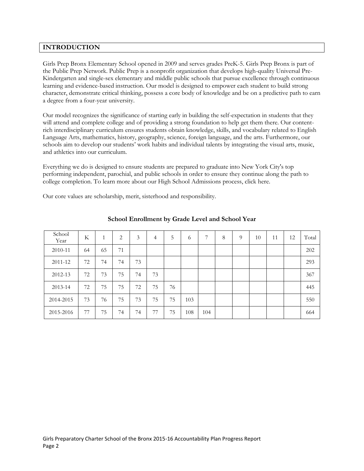# **INTRODUCTION**

Girls Prep Bronx Elementary School opened in 2009 and serves grades PreK-5. Girls Prep Bronx is part of the Public Prep Network. Public Prep is a nonprofit organization that develops high-quality Universal Pre-Kindergarten and single-sex elementary and middle public schools that pursue excellence through continuous learning and evidence-based instruction. Our model is designed to empower each student to build strong character, demonstrate critical thinking, possess a core body of knowledge and be on a predictive path to earn a degree from a four-year university.

Our model recognizes the significance of starting early in building the self-expectation in students that they will attend and complete college and of providing a strong foundation to help get them there. Our contentrich interdisciplinary curriculum ensures students obtain knowledge, skills, and vocabulary related to English Language Arts, mathematics, history, geography, science, foreign language, and the arts. Furthermore, our schools aim to develop our students' work habits and individual talents by integrating the visual arts, music, and athletics into our curriculum.

Everything we do is designed to ensure students are prepared to graduate into New York City's top performing independent, parochial, and public schools in order to ensure they continue along the path to college completion. To learn more about our High School Admissions process, click here.

Our core values are scholarship, merit, sisterhood and responsibility.

| School<br>Year | K  | 1  | 2  | 3  | 4  | 5  | $\sigma$ | 7   | 8 | 9 | 10 | 11 | 12 | Total |
|----------------|----|----|----|----|----|----|----------|-----|---|---|----|----|----|-------|
| 2010-11        | 64 | 65 | 71 |    |    |    |          |     |   |   |    |    |    | 202   |
| 2011-12        | 72 | 74 | 74 | 73 |    |    |          |     |   |   |    |    |    | 293   |
| 2012-13        | 72 | 73 | 75 | 74 | 73 |    |          |     |   |   |    |    |    | 367   |
| 2013-14        | 72 | 75 | 75 | 72 | 75 | 76 |          |     |   |   |    |    |    | 445   |
| 2014-2015      | 73 | 76 | 75 | 73 | 75 | 75 | 103      |     |   |   |    |    |    | 550   |
| 2015-2016      | 77 | 75 | 74 | 74 | 77 | 75 | 108      | 104 |   |   |    |    |    | 664   |

# **School Enrollment by Grade Level and School Year**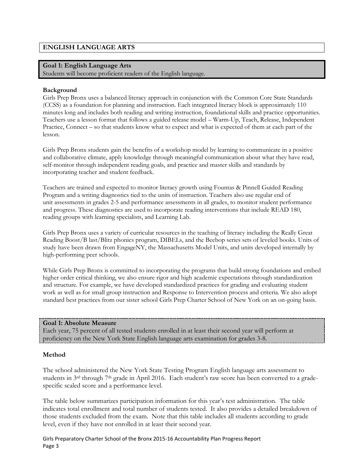# **ENGLISH LANGUAGE ARTS**

## **Goal 1: English Language Arts**

Students will become proficient readers of the English language.

#### **Background**

Girls Prep Bronx uses a balanced literacy approach in conjunction with the Common Core State Standards (CCSS) as a foundation for planning and instruction. Each integrated literacy block is approximately 110 minutes long and includes both reading and writing instruction, foundational skills and practice opportunities. Teachers use a lesson format that follows a guided release model – Warm-Up, Teach, Release, Independent Practice, Connect – so that students know what to expect and what is expected of them at each part of the lesson.

Girls Prep Bronx students gain the benefits of a workshop model by learning to communicate in a positive and collaborative climate, apply knowledge through meaningful communication about what they have read, self-monitor through independent reading goals, and practice and master skills and standards by incorporating teacher and student feedback.

Teachers are trained and expected to monitor literacy growth using Fountas & Pinnell Guided Reading Program and a writing diagnostics tied to the units of instruction. Teachers also use regular end of unit assessments in grades 2-5 and performance assessments in all grades, to monitor student performance and progress. These diagnostics are used to incorporate reading interventions that include READ 180, reading groups with learning specialists, and Learning Lab.

Girls Prep Bronx uses a variety of curricular resources in the teaching of literacy including the Really Great Reading Boost/B last/Blitz phonics program, DIBELs, and the Beebop series sets of leveled books. Units of study have been drawn from EngageNY, the Massachusetts Model Units, and units developed internally by high-performing peer schools.

While Girls Prep Bronx is committed to incorporating the programs that build strong foundations and embed higher order critical thinking, we also ensure rigor and high academic expectations through standardization and structure. For example, we have developed standardized practices for grading and evaluating student work as well as for small group instruction and Response to Intervention process and criteria. We also adopt standard best practices from our sister school Girls Prep Charter School of New York on an on-going basis.

#### **Goal 1: Absolute Measure**

Each year, 75 percent of all tested students enrolled in at least their second year will perform at proficiency on the New York State English language arts examination for grades 3-8.

# **Method**

The school administered the New York State Testing Program English language arts assessment to students in 3<sup>rd</sup> through 7<sup>th</sup> grade in April 2016. Each student's raw score has been converted to a gradespecific scaled score and a performance level.

The table below summarizes participation information for this year's test administration. The table indicates total enrollment and total number of students tested. It also provides a detailed breakdown of those students excluded from the exam. Note that this table includes all students according to grade level, even if they have not enrolled in at least their second year.

Girls Preparatory Charter School of the Bronx 2015-16 Accountability Plan Progress Report Page 3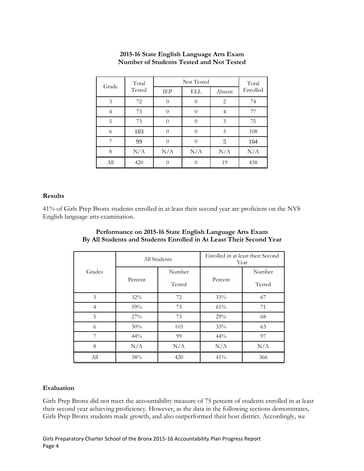| Grade | Total  |     | Not Tested |        |          |  |  |
|-------|--------|-----|------------|--------|----------|--|--|
|       | Tested | IEP | ELL        | Absent | Enrolled |  |  |
| 3     | 72     |     | $\Omega$   | 2      | 74       |  |  |
| 4     | 73     |     | $\Omega$   | 4      | 77       |  |  |
| 5     | 73     |     | 0          | 3      | 75       |  |  |
| 6     | 103    |     | 0          | 5      | 108      |  |  |
| 7     | 99     |     | $\Omega$   | 5      | 104      |  |  |
| 8     | N/A    | N/A | N/A        | N/A    | N/A      |  |  |
| All   | 420    |     |            | 19     | 438      |  |  |

# **2015-16 State English Language Arts Exam Number of Students Tested and Not Tested**

# **Results**

41% of Girls Prep Bronx students enrolled in at least their second year are proficient on the NYS English language arts examination.

|                |         | All Students | Enrolled in at least their Second<br>Year |        |  |
|----------------|---------|--------------|-------------------------------------------|--------|--|
| Grades         |         | Number       |                                           | Number |  |
|                | Percent | Tested       | Percent                                   | Tested |  |
| 3              | 32%     | 72           | 33%                                       | 67     |  |
| $\overline{4}$ | 59%     | 73           | 61%                                       | 71     |  |
| 5              | 27%     | 73           | 29%                                       | 68     |  |
| 6              | 30%     | 103          | 33%                                       | 63     |  |
| 7              | 44%     | 99           | 44%                                       | 97     |  |
| 8              | N/A     | N/A          | N/A                                       | N/A    |  |
| All            | 38%     | 420          | 41%                                       | 366    |  |

# **Performance on 2015-16 State English Language Arts Exam By All Students and Students Enrolled in At Least Their Second Year**

# **Evaluation**

Girls Prep Bronx did not meet the accountability measure of 75 percent of students enrolled in at least their second year achieving proficiency. However, as the data in the following sections demonstrates, Girls Prep Bronx students made growth, and also outperformed their host district. Accordingly, we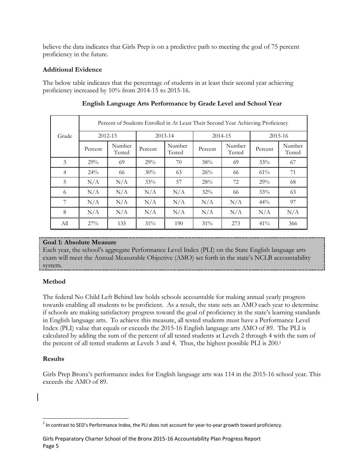believe the data indicates that Girls Prep is on a predictive path to meeting the goal of 75 percent proficiency in the future.

# **Additional Evidence**

The below table indicates that the percentage of students in at least their second year achieving proficiency increased by 10% from 2014-15 to 2015-16.

|                |             | Percent of Students Enrolled in At Least Their Second Year Achieving Proficiency |             |                  |         |                  |         |                  |  |  |
|----------------|-------------|----------------------------------------------------------------------------------|-------------|------------------|---------|------------------|---------|------------------|--|--|
| Grade          | $2012 - 13$ |                                                                                  | $2013 - 14$ |                  | 2014-15 |                  | 2015-16 |                  |  |  |
|                | Percent     | Number<br>Tested                                                                 | Percent     | Number<br>Tested | Percent | Number<br>Tested | Percent | Number<br>Tested |  |  |
| 3              | 29%         | 69                                                                               | 29%         | 70               | 38%     | 69               | 33%     | 67               |  |  |
| $\overline{4}$ | 24%         | 66                                                                               | 30%         | 63               | 26%     | 66               | 61%     | 71               |  |  |
| 5              | N/A         | N/A                                                                              | 33%         | 57               | 28%     | 72               | 29%     | 68               |  |  |
| 6              | N/A         | N/A                                                                              | N/A         | N/A              | 32%     | 66               | 33%     | 63               |  |  |
| 7              | N/A         | N/A                                                                              | N/A         | N/A              | N/A     | N/A              | $44\%$  | 97               |  |  |
| 8              | N/A         | N/A                                                                              | N/A         | N/A              | N/A     | N/A              | N/A     | N/A              |  |  |
| All            | 27%         | 135                                                                              | $31\%$      | 190              | 31%     | 273              | 41%     | 366              |  |  |

# **English Language Arts Performance by Grade Level and School Year**

# **Goal 1: Absolute Measure**

Each year, the school's aggregate Performance Level Index (PLI) on the State English language arts exam will meet the Annual Measurable Objective (AMO) set forth in the state's NCLB accountability system.

# **Method**

The federal No Child Left Behind law holds schools accountable for making annual yearly progress towards enabling all students to be proficient. As a result, the state sets an AMO each year to determine if schools are making satisfactory progress toward the goal of proficiency in the state's learning standards in English language arts. To achieve this measure, all tested students must have a Performance Level Index (PLI) value that equals or exceeds the 2015-16 English language arts AMO of 89. The PLI is calculated by adding the sum of the percent of all tested students at Levels 2 through 4 with the sum of the percent of all tested students at Levels 3 and 4. Thus, the highest possible PLI is 200.<sup>1</sup>

# **Results**

Girls Prep Bronx's performance index for English language arts was 114 in the 2015-16 school year. This exceeds the AMO of 89.

  $^1$  In contrast to SED's Performance Index, the PLI does not account for year-to-year growth toward proficiency.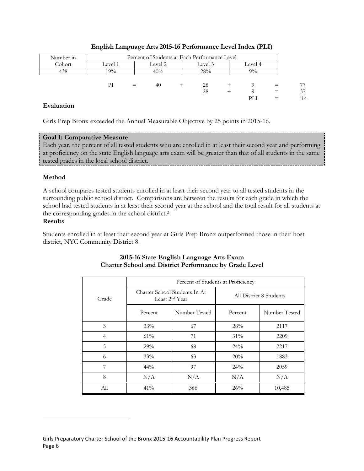| Number in | Percent of Students at Each Performance Level |                               |     |  |     |  |       |     |     |
|-----------|-----------------------------------------------|-------------------------------|-----|--|-----|--|-------|-----|-----|
| Cohort    | Level 1                                       | Level 2<br>Level 3<br>Level 4 |     |  |     |  |       |     |     |
| 438       | 19%                                           |                               | 40% |  | 28% |  | $9\%$ |     |     |
|           |                                               |                               |     |  |     |  |       |     |     |
|           | РI                                            | $=$                           | 40  |  | 28  |  |       |     |     |
|           |                                               |                               |     |  | 28  |  |       | $=$ | 37  |
|           |                                               |                               |     |  |     |  | PЫ    |     | 114 |

# **English Language Arts 2015-16 Performance Level Index (PLI)**

# **Evaluation**

Girls Prep Bronx exceeded the Annual Measurable Objective by 25 points in 2015-16.

# **Goal 1: Comparative Measure**

Each year, the percent of all tested students who are enrolled in at least their second year and performing at proficiency on the state English language arts exam will be greater than that of all students in the same tested grades in the local school district.

# **Method**

A school compares tested students enrolled in at least their second year to all tested students in the surrounding public school district. Comparisons are between the results for each grade in which the school had tested students in at least their second year at the school and the total result for all students at the corresponding grades in the school district. 2

# **Results**

Students enrolled in at least their second year at Girls Prep Bronx outperformed those in their host district, NYC Community District 8.

|                | Percent of Students at Proficiency |                                                             |                         |               |  |  |  |  |  |
|----------------|------------------------------------|-------------------------------------------------------------|-------------------------|---------------|--|--|--|--|--|
| Grade          |                                    | Charter School Students In At<br>Least 2 <sup>nd</sup> Year | All District 8 Students |               |  |  |  |  |  |
|                | Number Tested<br>Percent           |                                                             | Percent                 | Number Tested |  |  |  |  |  |
| 3              | $33\%$                             | 67                                                          | 28%                     | 2117          |  |  |  |  |  |
| $\overline{4}$ | 61%                                | 71                                                          | $31\%$                  | 2209          |  |  |  |  |  |
| 5              | 29%                                | 68                                                          | $24\%$                  | 2217          |  |  |  |  |  |
| 6              | 33%                                | 63                                                          | 20%                     | 1883          |  |  |  |  |  |
| 7              | $44\%$                             | 97                                                          | $24\%$                  | 2059          |  |  |  |  |  |
| 8              | N/A                                | N/A                                                         | N/A                     | N/A           |  |  |  |  |  |
| All            | 41%                                | 366                                                         | 26%                     | 10,485        |  |  |  |  |  |

# **2015-16 State English Language Arts Exam Charter School and District Performance by Grade Level**

Girls Preparatory Charter School of the Bronx 2015-16 Accountability Plan Progress Report Page 6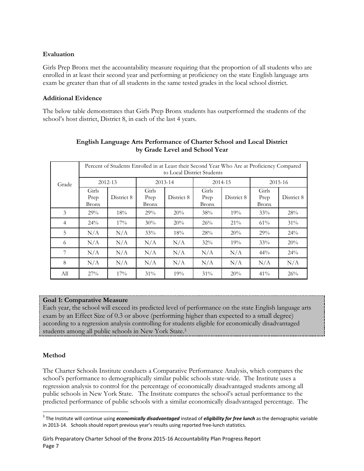# **Evaluation**

Girls Prep Bronx met the accountability measure requiring that the proportion of all students who are enrolled in at least their second year and performing at proficiency on the state English language arts exam be greater than that of all students in the same tested grades in the local school district.

# **Additional Evidence**

The below table demonstrates that Girls Prep Bronx students has outperformed the students of the school's host district, District 8, in each of the last 4 years.

|                |                        | Percent of Students Enrolled in at Least their Second Year Who Are at Proficiency Compared<br>to Local District Students |                               |            |                               |            |                               |            |  |  |
|----------------|------------------------|--------------------------------------------------------------------------------------------------------------------------|-------------------------------|------------|-------------------------------|------------|-------------------------------|------------|--|--|
| Grade          | 2012-13                |                                                                                                                          | 2013-14                       |            |                               | 2014-15    |                               | 2015-16    |  |  |
|                | Girls<br>Prep<br>Bronx | District 8                                                                                                               | Girls<br>Prep<br><b>Bronx</b> | District 8 | Girls<br>Prep<br><b>Bronx</b> | District 8 | Girls<br>Prep<br><b>Bronx</b> | District 8 |  |  |
| 3              | 29%                    | 18%                                                                                                                      | 29%                           | 20%        | 38%                           | 19%        | 33%                           | 28%        |  |  |
| $\overline{4}$ | $24\%$                 | 17%                                                                                                                      | $30\%$                        | 20%        | 26%                           | $21\%$     | 61%                           | $31\%$     |  |  |
| 5              | N/A                    | N/A                                                                                                                      | 33%                           | 18%        | 28%                           | 20%        | 29%                           | $24\%$     |  |  |
| 6              | N/A                    | N/A                                                                                                                      | N/A                           | N/A        | $32\%$                        | 19%        | 33%                           | 20%        |  |  |
| 7              | N/A                    | N/A                                                                                                                      | N/A                           | N/A        | N/A                           | N/A        | $44\%$                        | $24\%$     |  |  |
| 8              | N/A                    | N/A                                                                                                                      | N/A                           | N/A        | N/A                           | N/A        | N/A                           | N/A        |  |  |
| All            | 27%                    | 17%                                                                                                                      | $31\%$                        | 19%        | $31\%$                        | 20%        | 41%                           | 26%        |  |  |

# **English Language Arts Performance of Charter School and Local District by Grade Level and School Year**

# **Goal 1: Comparative Measure**

Each year, the school will exceed its predicted level of performance on the state English language arts exam by an Effect Size of 0.3 or above (performing higher than expected to a small degree) according to a regression analysis controlling for students eligible for economically disadvantaged students among all public schools in New York State.<sup>3</sup>

# **Method**

The Charter Schools Institute conducts a Comparative Performance Analysis, which compares the school's performance to demographically similar public schools state-wide. The Institute uses a regression analysis to control for the percentage of economically disadvantaged students among all public schools in New York State. The Institute compares the school's actual performance to the predicted performance of public schools with a similar economically disadvantaged percentage. The

<sup>3</sup> The Institute will continue using *economically disadvantaged* instead of *eligibility for free lunch* as the demographic variable in 2013-14. Schools should report previous year's results using reported free-lunch statistics.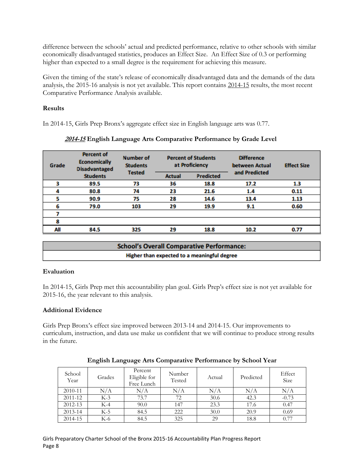difference between the schools' actual and predicted performance, relative to other schools with similar economically disadvantaged statistics, produces an Effect Size. An Effect Size of 0.3 or performing higher than expected to a small degree is the requirement for achieving this measure.

Given the timing of the state's release of economically disadvantaged data and the demands of the data analysis, the 2015-16 analysis is not yet available. This report contains 2014-15 results, the most recent Comparative Performance Analysis available.

# **Results**

In 2014-15, Girls Prep Bronx's aggregate effect size in English language arts was 0.77.

| Grade | <b>Percent of</b><br><b>Economically</b><br><b>Disadvantaged</b> | Number of<br><b>Students</b> | <b>Percent of Students</b><br>at Proficiency |      | <b>Difference</b><br>between Actual | <b>Effect Size</b> |  |
|-------|------------------------------------------------------------------|------------------------------|----------------------------------------------|------|-------------------------------------|--------------------|--|
|       | <b>Students</b>                                                  | <b>Tested</b>                | <b>Predicted</b><br><b>Actual</b>            |      | and Predicted                       |                    |  |
|       | 89.5                                                             | 73                           | 36                                           | 18.8 | 17.2                                | 1.3                |  |
|       | 80.8                                                             | 74                           | 23                                           | 21.6 | 1.4                                 | 0.11               |  |
|       | 90.9                                                             | 75                           | 28                                           | 14.6 | 13.4                                | 1.13               |  |
|       | 79.0                                                             | 103                          | 29                                           | 19.9 | 9.1                                 | 0.60               |  |
|       |                                                                  |                              |                                              |      |                                     |                    |  |
|       |                                                                  |                              |                                              |      |                                     |                    |  |
| All   | 84.5                                                             | 325                          | 29                                           | 18.8 | 10.2                                | 0.77               |  |

# **2014-15 English Language Arts Comparative Performance by Grade Level**

| <b>School's Overall Comparative Performance:</b> |
|--------------------------------------------------|
| Higher than expected to a meaningful degree      |

# **Evaluation**

In 2014-15, Girls Prep met this accountability plan goal. Girls Prep's effect size is not yet available for 2015-16, the year relevant to this analysis.

# **Additional Evidence**

Girls Prep Bronx's effect size improved between 2013-14 and 2014-15. Our improvements to curriculum, instruction, and data use make us confident that we will continue to produce strong results in the future.

| School<br>Year | Grades | Percent<br>Eligible for<br>Free Lunch | Number<br>Tested | Actual | Predicted | Effect<br>Size |
|----------------|--------|---------------------------------------|------------------|--------|-----------|----------------|
| 2010-11        | N/A    | N/A                                   | N/A              | N/A    | N/A       | N/A            |
| 2011-12        | $K-3$  | 73.7                                  | 72               | 30.6   | 42.3      | $-0.73$        |
| 2012-13        | $K-4$  | 90.0                                  | 147              | 23.3   | 17.6      | 0.47           |
| 2013-14        | $K-5$  | 84.5                                  | 222              | 30.0   | 20.9      | 0.69           |
| 2014-15        | K-6    | 84.5                                  | 325              | 29     | 18.8      | 0.77           |

# **English Language Arts Comparative Performance by School Year**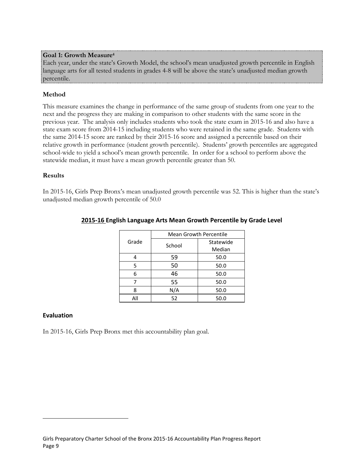#### **Goal 1: Growth Measure<sup>4</sup>**

Each year, under the state's Growth Model, the school's mean unadjusted growth percentile in English language arts for all tested students in grades 4-8 will be above the state's unadjusted median growth percentile.

# **Method**

This measure examines the change in performance of the same group of students from one year to the next and the progress they are making in comparison to other students with the same score in the previous year. The analysis only includes students who took the state exam in 2015-16 and also have a state exam score from 2014-15 including students who were retained in the same grade. Students with the same 2014-15 score are ranked by their 2015-16 score and assigned a percentile based on their relative growth in performance (student growth percentile). Students' growth percentiles are aggregated school-wide to yield a school's mean growth percentile. In order for a school to perform above the statewide median, it must have a mean growth percentile greater than 50.

#### **Results**

In 2015-16, Girls Prep Bronx's mean unadjusted growth percentile was 52. This is higher than the state's unadjusted median growth percentile of 50.0

|       | <b>Mean Growth Percentile</b> |           |  |  |  |
|-------|-------------------------------|-----------|--|--|--|
| Grade | School                        | Statewide |  |  |  |
|       |                               | Median    |  |  |  |
|       | 59                            | 50.0      |  |  |  |
| 5     | 50                            | 50.0      |  |  |  |
| 6     | 46                            | 50.0      |  |  |  |
|       | 55                            | 50.0      |  |  |  |
| 8     | N/A                           | 50.0      |  |  |  |
|       | 52                            | 50.0      |  |  |  |

# **2015-16 English Language Arts Mean Growth Percentile by Grade Level**

#### **Evaluation**

In 2015-16, Girls Prep Bronx met this accountability plan goal.

Girls Preparatory Charter School of the Bronx 2015-16 Accountability Plan Progress Report Page 9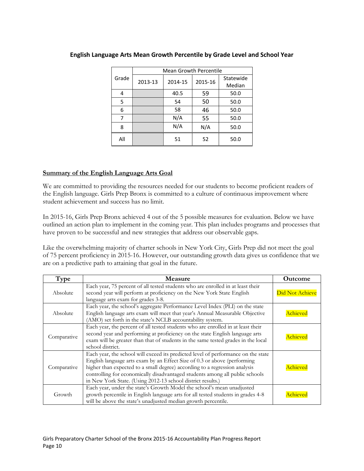|       | <b>Mean Growth Percentile</b> |         |         |      |  |  |  |
|-------|-------------------------------|---------|---------|------|--|--|--|
| Grade | 2013-13                       | 2014-15 | 2015-16 |      |  |  |  |
| 4     |                               | 40.5    | 59      | 50.0 |  |  |  |
| 5     |                               | 54      | 50      | 50.0 |  |  |  |
| 6     |                               | 58      | 46      | 50.0 |  |  |  |
|       |                               | N/A     | 55      | 50.0 |  |  |  |
| 8     |                               | N/A     | N/A     | 50.0 |  |  |  |
| All   |                               | 51      | 52      | 50.0 |  |  |  |

# **English Language Arts Mean Growth Percentile by Grade Level and School Year**

# **Summary of the English Language Arts Goal**

We are committed to providing the resources needed for our students to become proficient readers of the English language. Girls Prep Bronx is committed to a culture of continuous improvement where student achievement and success has no limit.

In 2015-16, Girls Prep Bronx achieved 4 out of the 5 possible measures for evaluation. Below we have outlined an action plan to implement in the coming year. This plan includes programs and processes that have proven to be successful and new strategies that address our observable gaps.

Like the overwhelming majority of charter schools in New York City, Girls Prep did not meet the goal of 75 percent proficiency in 2015-16. However, our outstanding growth data gives us confidence that we are on a predictive path to attaining that goal in the future.

| Type        | <b>Measure</b>                                                                                                                                                                                                                                                                                                                                                                             | <b>Outcome</b>         |
|-------------|--------------------------------------------------------------------------------------------------------------------------------------------------------------------------------------------------------------------------------------------------------------------------------------------------------------------------------------------------------------------------------------------|------------------------|
| Absolute    | Each year, 75 percent of all tested students who are enrolled in at least their<br>second year will perform at proficiency on the New York State English<br>language arts exam for grades 3-8.                                                                                                                                                                                             | <b>Did Not Achieve</b> |
| Absolute    | Each year, the school's aggregate Performance Level Index (PLI) on the state<br>English language arts exam will meet that year's Annual Measurable Objective<br>(AMO) set forth in the state's NCLB accountability system.                                                                                                                                                                 | Achieved               |
| Comparative | Each year, the percent of all tested students who are enrolled in at least their<br>second year and performing at proficiency on the state English language arts<br>exam will be greater than that of students in the same tested grades in the local<br>school district.                                                                                                                  | Achieved               |
| Comparative | Each year, the school will exceed its predicted level of performance on the state<br>English language arts exam by an Effect Size of 0.3 or above (performing<br>higher than expected to a small degree) according to a regression analysis<br>controlling for economically disadvantaged students among all public schools<br>in New York State. (Using 2012-13 school district results.) | Achieved               |
| Growth      | Each year, under the state's Growth Model the school's mean unadjusted<br>growth percentile in English language arts for all tested students in grades 4-8<br>will be above the state's unadjusted median growth percentile.                                                                                                                                                               | Achieved               |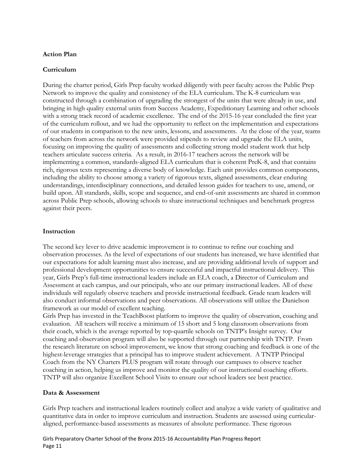# **Action Plan**

#### **Curriculum**

During the charter period, Girls Prep faculty worked diligently with peer faculty across the Public Prep Network to improve the quality and consistency of the ELA curriculum. The K-8 curriculum was constructed through a combination of upgrading the strongest of the units that were already in use, and bringing in high quality external units from Success Academy, Expeditionary Learning and other schools with a strong track record of academic excellence. The end of the 2015-16 year concluded the first year of the curriculum rollout, and we had the opportunity to reflect on the implementation and expectations of our students in comparison to the new units, lessons, and assessments. At the close of the year, teams of teachers from across the network were provided stipends to review and upgrade the ELA units, focusing on improving the quality of assessments and collecting strong model student work that help teachers articulate success criteria. As a result, in 2016-17 teachers across the network will be implementing a common, standards-aligned ELA curriculum that is coherent PreK-8, and that contains rich, rigorous texts representing a diverse body of knowledge. Each unit provides common components, including the ability to choose among a variety of rigorous texts, aligned assessments, clear enduring understandings, interdisciplinary connections, and detailed lesson guides for teachers to use, amend, or build upon. All standards, skills, scope and sequence, and end-of-unit assessments are shared in common across Public Prep schools, allowing schools to share instructional techniques and benchmark progress against their peers.

#### **Instruction**

The second key lever to drive academic improvement is to continue to refine our coaching and observation processes. As the level of expectations of our students has increased, we have identified that our expectations for adult learning must also increase, and are providing additional levels of support and professional development opportunities to ensure successful and impactful instructional delivery. This year, Girls Prep's full-time instructional leaders include an ELA coach, a Director of Curriculum and Assessment at each campus, and our principals, who are our primary instructional leaders. All of these individuals will regularly observe teachers and provide instructional feedback. Grade team leaders will also conduct informal observations and peer observations. All observations will utilize the Danielson framework as our model of excellent teaching.

Girls Prep has invested in the TeachBoost platform to improve the quality of observation, coaching and evaluation. All teachers will receive a minimum of 15 short and 5 long classroom observations from their coach, which is the average reported by top-quartile schools on TNTP's Insight survey. Our coaching and observation program will also be supported through our partnership with TNTP. From the research literature on school improvement, we know that strong coaching and feedback is one of the highest-leverage strategies that a principal has to improve student achievement. A TNTP Principal Coach from the NY Charters PLUS program will rotate through our campuses to observe teacher coaching in action, helping us improve and monitor the quality of our instructional coaching efforts. TNTP will also organize Excellent School Visits to ensure our school leaders see best practice.

#### **Data & Assessment**

Girls Prep teachers and instructional leaders routinely collect and analyze a wide variety of qualitative and quantitative data in order to improve curriculum and instruction. Students are assessed using curricularaligned, performance-based assessments as measures of absolute performance. These rigorous

Girls Preparatory Charter School of the Bronx 2015-16 Accountability Plan Progress Report Page 11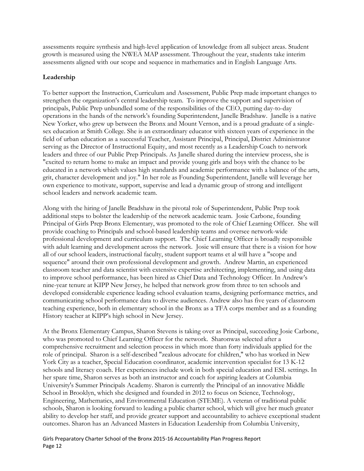assessments require synthesis and high-level application of knowledge from all subject areas. Student growth is measured using the NWEA MAP assessment. Throughout the year, students take interim assessments aligned with our scope and sequence in mathematics and in English Language Arts.

# **Leadership**

To better support the Instruction, Curriculum and Assessment, Public Prep made important changes to strengthen the organization's central leadership team. To improve the support and supervision of principals, Public Prep unbundled some of the responsibilities of the CEO, putting day-to-day operations in the hands of the network's founding Superintendent, Janelle Bradshaw. Janelle is a native New Yorker, who grew up between the Bronx and Mount Vernon, and is a proud graduate of a singlesex education at Smith College. She is an extraordinary educator with sixteen years of experience in the field of urban education as a successful Teacher, Assistant Principal, Principal, District Administrator serving as the Director of Instructional Equity, and most recently as a Leadership Coach to network leaders and three of our Public Prep Principals. As Janelle shared during the interview process, she is "excited to return home to make an impact and provide young girls and boys with the chance to be educated in a network which values high standards and academic performance with a balance of the arts, grit, character development and joy." In her role as Founding Superintendent, Janelle will leverage her own experience to motivate, support, supervise and lead a dynamic group of strong and intelligent school leaders and network academic team.

Along with the hiring of Janelle Bradshaw in the pivotal role of Superintendent, Public Prep took additional steps to bolster the leadership of the network academic team. Josie Carbone, founding Principal of Girls Prep Bronx Elementary, was promoted to the role of Chief Learning Officer. She will provide coaching to Principals and school-based leadership teams and oversee network-wide professional development and curriculum support. The Chief Learning Officer is broadly responsible with adult learning and development across the network. Josie will ensure that there is a vision for how all of our school leaders, instructional faculty, student support teams et al will have a "scope and sequence" around their own professional development and growth. Andrew Martin, an experienced classroom teacher and data scientist with extensive expertise architecting, implementing, and using data to improve school performance, has been hired as Chief Data and Technology Officer. In Andrew's nine-year tenure at KIPP New Jersey, he helped that network grow from three to ten schools and developed considerable experience leading school evaluation teams, designing performance metrics, and communicating school performance data to diverse audiences. Andrew also has five years of classroom teaching experience, both in elementary school in the Bronx as a TFA corps member and as a founding History teacher at KIPP's high school in New Jersey.

At the Bronx Elementary Campus, Sharon Stevens is taking over as Principal, succeeding Josie Carbone, who was promoted to Chief Learning Officer for the network. Sharonwas selected after a comprehensive recruitment and selection process in which more than forty individuals applied for the role of principal. Sharon is a self-described "zealous advocate for children," who has worked in New York City as a teacher, Special Education coordinator, academic intervention specialist for 13 K-12 schools and literacy coach. Her experiences include work in both special education and ESL settings. In her spare time, Sharon serves as both an instructor and coach for aspiring leaders at Columbia University's Summer Principals Academy. Sharon is currently the Principal of an innovative Middle School in Brooklyn, which she designed and founded in 2012 to focus on Science, Technology, Engineering, Mathematics, and Environmental Education (STEME). A veteran of traditional public schools, Sharon is looking forward to leading a public charter school, which will give her much greater ability to develop her staff, and provide greater support and accountability to achieve exceptional student outcomes. Sharon has an Advanced Masters in Education Leadership from Columbia University,

Girls Preparatory Charter School of the Bronx 2015-16 Accountability Plan Progress Report Page 12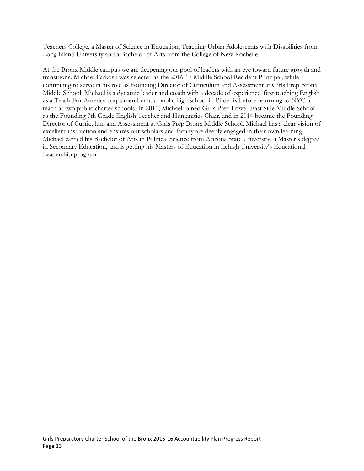Teachers College, a Master of Science in Education, Teaching Urban Adolescents with Disabilities from Long Island University and a Bachelor of Arts from the College of New Rochelle.

At the Bronx Middle campus we are deepening our pool of leaders with an eye toward future growth and transitions. Michael Farkosh was selected as the 2016-17 Middle School Resident Principal, while continuing to serve in his role as Founding Director of Curriculum and Assessment at Girls Prep Bronx Middle School. Michael is a dynamic leader and coach with a decade of experience, first teaching English as a Teach For America corps member at a public high school in Phoenix before returning to NYC to teach at two public charter schools. In 2011, Michael joined Girls Prep Lower East Side Middle School as the Founding 7th Grade English Teacher and Humanities Chair, and in 2014 became the Founding Director of Curriculum and Assessment at Girls Prep Bronx Middle School. Michael has a clear vision of excellent instruction and ensures our scholars and faculty are deeply engaged in their own learning. Michael earned his Bachelor of Arts in Political Science from Arizona State University, a Master's degree in Secondary Education, and is getting his Masters of Education in Lehigh University's Educational Leadership program.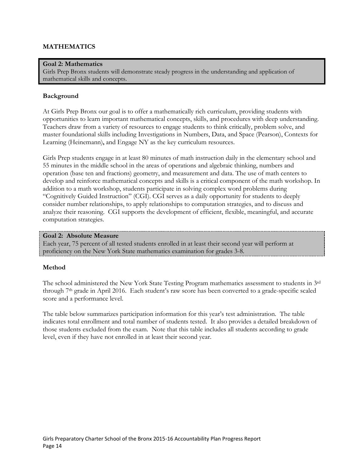# **MATHEMATICS**

#### **Goal 2: Mathematics**

Girls Prep Bronx students will demonstrate steady progress in the understanding and application of mathematical skills and concepts.

#### **Background**

At Girls Prep Bronx our goal is to offer a mathematically rich curriculum, providing students with opportunities to learn important mathematical concepts, skills, and procedures with deep understanding. Teachers draw from a variety of resources to engage students to think critically, problem solve, and master foundational skills including Investigations in Numbers, Data, and Space (Pearson), Contexts for Learning (Heinemann)**,** and Engage NY as the key curriculum resources.

Girls Prep students engage in at least 80 minutes of math instruction daily in the elementary school and 55 minutes in the middle school in the areas of operations and algebraic thinking, numbers and operation (base ten and fractions) geometry, and measurement and data. The use of math centers to develop and reinforce mathematical concepts and skills is a critical component of the math workshop. In addition to a math workshop, students participate in solving complex word problems during "Cognitively Guided Instruction" (CGI). CGI serves as a daily opportunity for students to deeply consider number relationships, to apply relationships to computation strategies, and to discuss and analyze their reasoning. CGI supports the development of efficient, flexible, meaningful, and accurate computation strategies.

#### **Goal 2: Absolute Measure**

Each year, 75 percent of all tested students enrolled in at least their second year will perform at proficiency on the New York State mathematics examination for grades 3-8.

#### **Method**

The school administered the New York State Testing Program mathematics assessment to students in 3rd through 7th grade in April 2016. Each student's raw score has been converted to a grade-specific scaled score and a performance level.

The table below summarizes participation information for this year's test administration. The table indicates total enrollment and total number of students tested. It also provides a detailed breakdown of those students excluded from the exam. Note that this table includes all students according to grade level, even if they have not enrolled in at least their second year.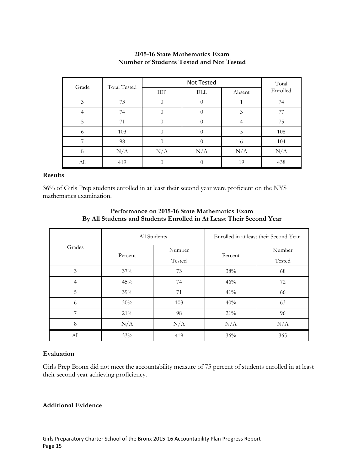| Grade | <b>Total Tested</b> |     | Total      |        |          |
|-------|---------------------|-----|------------|--------|----------|
|       |                     | IEP | <b>ELL</b> | Absent | Enrolled |
| 3     | 73                  |     |            |        | 74       |
|       | 74                  |     |            | 3      | 77       |
| 5     | 71                  |     |            |        | 75       |
| 6     | 103                 |     |            | 5      | 108      |
| ⇁     | 98                  |     |            | 6      | 104      |
| 8     | N/A                 | N/A | N/A        | N/A    | N/A      |
| All   | 419                 |     |            | 19     | 438      |

# **2015-16 State Mathematics Exam Number of Students Tested and Not Tested**

#### **Results**

36% of Girls Prep students enrolled in at least their second year were proficient on the NYS mathematics examination.

|                |         | All Students | Enrolled in at least their Second Year |        |  |
|----------------|---------|--------------|----------------------------------------|--------|--|
| Grades         |         | Number       |                                        | Number |  |
|                | Percent | Tested       | Percent                                | Tested |  |
| 3              | 37%     | 73           | 38%                                    | 68     |  |
| $\overline{4}$ | 45%     | 74           | 46%                                    | 72     |  |
| 5              | 39%     | 71           | 41%                                    | 66     |  |
| 6              | 30%     | 103          | 40%                                    | 63     |  |
| 7              | 21%     | 98           | 21%                                    | 96     |  |
| 8              | N/A     | N/A          | N/A                                    | N/A    |  |
| All            | 33%     | 419          | 36%                                    | 365    |  |

#### **Performance on 2015-16 State Mathematics Exam By All Students and Students Enrolled in At Least Their Second Year**

# **Evaluation**

Girls Prep Bronx did not meet the accountability measure of 75 percent of students enrolled in at least their second year achieving proficiency.

# **Additional Evidence**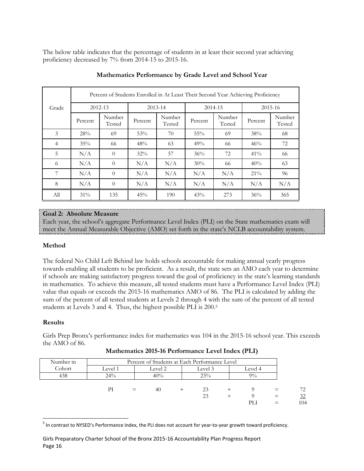The below table indicates that the percentage of students in at least their second year achieving proficiency decreased by 7% from 2014-15 to 2015-16.

|                | Percent of Students Enrolled in At Least Their Second Year Achieving Proficiency |                  |         |                  |         |                  |         |                  |  |
|----------------|----------------------------------------------------------------------------------|------------------|---------|------------------|---------|------------------|---------|------------------|--|
| Grade          |                                                                                  | 2012-13          |         | $2013 - 14$      |         | 2014-15          |         | $2015 - 16$      |  |
|                | Percent                                                                          | Number<br>Tested | Percent | Number<br>Tested | Percent | Number<br>Tested | Percent | Number<br>Tested |  |
| 3              | 28%                                                                              | 69               | 53%     | 70               | 55%     | 69               | 38%     | 68               |  |
| $\overline{4}$ | 35%                                                                              | 66               | 48%     | 63               | 49%     | 66               | 46%     | 72               |  |
| 5              | N/A                                                                              | $\theta$         | 32%     | 57               | 36%     | 72               | 41%     | 66               |  |
| 6              | N/A                                                                              | $\Omega$         | N/A     | N/A              | 30%     | 66               | 40%     | 63               |  |
| 7              | N/A                                                                              | $\theta$         | N/A     | N/A              | N/A     | N/A              | $21\%$  | 96               |  |
| 8              | N/A                                                                              | $\Omega$         | N/A     | N/A              | N/A     | N/A              | N/A     | N/A              |  |
| All            | 31%                                                                              | 135              | 45%     | 190              | 43%     | 273              | 36%     | 365              |  |

# **Mathematics Performance by Grade Level and School Year**

# **Goal 2: Absolute Measure**

Each year, the school's aggregate Performance Level Index (PLI) on the State mathematics exam will meet the Annual Measurable Objective (AMO) set forth in the state's NCLB accountability system.

# **Method**

The federal No Child Left Behind law holds schools accountable for making annual yearly progress towards enabling all students to be proficient. As a result, the state sets an AMO each year to determine if schools are making satisfactory progress toward the goal of proficiency in the state's learning standards in mathematics. To achieve this measure, all tested students must have a Performance Level Index (PLI) value that equals or exceeds the 2015-16 mathematics AMO of 86. The PLI is calculated by adding the sum of the percent of all tested students at Levels 2 through 4 with the sum of the percent of all tested students at Levels 3 and 4. Thus, the highest possible PLI is 200.<sup>5</sup>

# **Results**

Girls Prep Bronx's performance index for mathematics was 104 in the 2015-16 school year. This exceeds the AMO of 86.

| <b>Mathematics 2015-16 Performance Level Index (PLI)</b> |  |  |
|----------------------------------------------------------|--|--|
|----------------------------------------------------------|--|--|

| Number in |         |     | Percent of Students at Each Performance Level |      |         |         |     |
|-----------|---------|-----|-----------------------------------------------|------|---------|---------|-----|
| Cohort    | Level 1 |     | Level 2                                       |      | Level 3 | Level 4 |     |
| 438       | $24\%$  |     | 40%                                           |      | 23%     | $9\%$   |     |
|           |         |     |                                               |      |         |         |     |
|           | РI      | $=$ | 40                                            | $^+$ | 23      |         | 72  |
|           |         |     |                                               |      | 23      |         | 32  |
|           |         |     |                                               |      |         | PLI     | 104 |

<sup>&</sup>lt;sup>5</sup> In contrast to NYSED's Performance Index, the PLI does not account for year-to-year growth toward proficiency.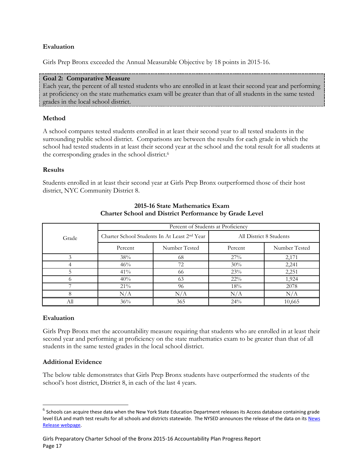# **Evaluation**

Girls Prep Bronx exceeded the Annual Measurable Objective by 18 points in 2015-16.

#### **Goal 2: Comparative Measure**

Each year, the percent of all tested students who are enrolled in at least their second year and performing at proficiency on the state mathematics exam will be greater than that of all students in the same tested grades in the local school district.

#### **Method**

A school compares tested students enrolled in at least their second year to all tested students in the surrounding public school district. Comparisons are between the results for each grade in which the school had tested students in at least their second year at the school and the total result for all students at the corresponding grades in the school district.<sup>6</sup>

#### **Results**

Students enrolled in at least their second year at Girls Prep Bronx outperformed those of their host district, NYC Community District 8.

|       |           | Percent of Students at Proficiency                       |         |                         |
|-------|-----------|----------------------------------------------------------|---------|-------------------------|
| Grade |           | Charter School Students In At Least 2 <sup>nd</sup> Year |         | All District 8 Students |
|       | Percent   | Number Tested                                            | Percent | Number Tested           |
|       | 38%       | 68                                                       | 27%     | 2,171                   |
|       | 46%       | 72                                                       | 30%     | 2,241                   |
|       | 41%       | 66                                                       | 23%     | 2,251                   |
|       | 40%       | 63                                                       | $22\%$  | 1,924                   |
|       | $21\%$    | 96                                                       | 18%     | 2078                    |
|       | $\rm N/A$ | N/A                                                      | N/A     | N/A                     |
| All   | 36%       | 365                                                      | 24%     | 10,665                  |

# **2015-16 State Mathematics Exam Charter School and District Performance by Grade Level**

#### **Evaluation**

 $\overline{\phantom{a}}$ 

Girls Prep Bronx met the accountability measure requiring that students who are enrolled in at least their second year and performing at proficiency on the state mathematics exam to be greater than that of all students in the same tested grades in the local school district.

#### **Additional Evidence**

The below table demonstrates that Girls Prep Bronx students have outperformed the students of the school's host district, District 8, in each of the last 4 years.

 $^6$  Schools can acquire these data when the New York State Education Department releases its Access database containing grade level ELA and math test results for all schools and districts statewide. The NYSED announces the release of the data on its News [Release webpage.](http://www.oms.nysed.gov/press/)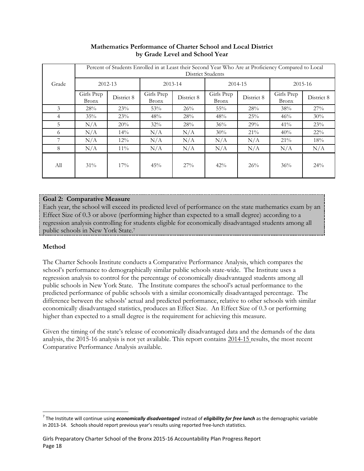|       | Percent of Students Enrolled in at Least their Second Year Who Are at Proficiency Compared to Local<br><b>District Students</b> |            |                     |            |                            |            |                            |            |
|-------|---------------------------------------------------------------------------------------------------------------------------------|------------|---------------------|------------|----------------------------|------------|----------------------------|------------|
| Grade |                                                                                                                                 | 2012-13    |                     | 2013-14    | 2014-15                    |            | 2015-16                    |            |
|       | Girls Prep<br><b>Bronx</b>                                                                                                      | District 8 | Girls Prep<br>Bronx | District 8 | Girls Prep<br><b>Bronx</b> | District 8 | Girls Prep<br><b>Bronx</b> | District 8 |
| 3     | 28%                                                                                                                             | 23%        | 53%                 | 26%        | $55\%$                     | 28%        | 38%                        | 27%        |
| 4     | 35%                                                                                                                             | 23%        | 48%                 | 28%        | 48%                        | 25%        | 46%                        | 30%        |
| 5     | N/A                                                                                                                             | 20%        | $32\%$              | 28%        | 36%                        | 29%        | 41%                        | 23%        |
| 6     | N/A                                                                                                                             | 14%        | N/A                 | N/A        | 30%                        | $21\%$     | 40%                        | $22\%$     |
| 7     | N/A                                                                                                                             | $12\%$     | N/A                 | N/A        | N/A                        | N/A        | 21%                        | 18%        |
| 8     | N/A                                                                                                                             | $11\%$     | N/A                 | N/A        | N/A                        | N/A        | N/A                        | N/A        |
| All   | $31\%$                                                                                                                          | 17%        | 45%                 | 27%        | 42%                        | 26%        | 36%                        | $24\%$     |

# **Mathematics Performance of Charter School and Local District by Grade Level and School Year**

# **Goal 2: Comparative Measure**

Each year, the school will exceed its predicted level of performance on the state mathematics exam by an Effect Size of 0.3 or above (performing higher than expected to a small degree) according to a regression analysis controlling for students eligible for economically disadvantaged students among all public schools in New York State.<sup>7</sup>

# **Method**

The Charter Schools Institute conducts a Comparative Performance Analysis, which compares the school's performance to demographically similar public schools state-wide. The Institute uses a regression analysis to control for the percentage of economically disadvantaged students among all public schools in New York State. The Institute compares the school's actual performance to the predicted performance of public schools with a similar economically disadvantaged percentage. The difference between the schools' actual and predicted performance, relative to other schools with similar economically disadvantaged statistics, produces an Effect Size. An Effect Size of 0.3 or performing higher than expected to a small degree is the requirement for achieving this measure.

Given the timing of the state's release of economically disadvantaged data and the demands of the data analysis, the 2015-16 analysis is not yet available. This report contains 2014-15 results, the most recent Comparative Performance Analysis available.

<sup>7</sup> The Institute will continue using *economically disadvantaged* instead of *eligibility for free lunch* as the demographic variable in 2013-14. Schools should report previous year's results using reported free-lunch statistics.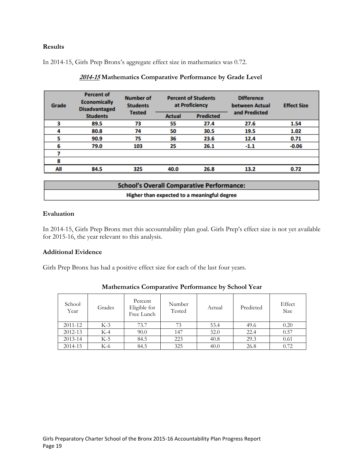# **Results**

In 2014-15, Girls Prep Bronx's aggregate effect size in mathematics was 0.72.

| Grade | <b>Percent of</b><br><b>Economically</b><br><b>Disadvantaged</b> | <b>Number of</b><br><b>Students</b> | <b>Percent of Students</b><br>at Proficiency |                  | <b>Difference</b><br>between Actual | <b>Effect Size</b> |
|-------|------------------------------------------------------------------|-------------------------------------|----------------------------------------------|------------------|-------------------------------------|--------------------|
|       | <b>Students</b>                                                  | <b>Tested</b>                       | <b>Actual</b>                                | <b>Predicted</b> | and Predicted                       |                    |
|       | 89.5                                                             | 73                                  | 55                                           | 27.4             | 27.6                                | 1.54               |
|       | 80.8                                                             | 74                                  | 50                                           | 30.5             | 19.5                                | 1.02               |
|       | 90.9                                                             | 75                                  | 36                                           | 23.6             | 12.4                                | 0.71               |
| 6     | 79.0                                                             | 103                                 | 25                                           | 26.1             | $-1.1$                              | $-0.06$            |
|       |                                                                  |                                     |                                              |                  |                                     |                    |
| 8     |                                                                  |                                     |                                              |                  |                                     |                    |
| All   | 84.5                                                             | 325                                 | 40.0                                         | 26.8             | 13.2                                | 0.72               |

# **2014-15 Mathematics Comparative Performance by Grade Level**

| <b>School's Overall Comparative Performance:</b> |
|--------------------------------------------------|
| Higher than expected to a meaningful degree      |

# **Evaluation**

In 2014-15, Girls Prep Bronx met this accountability plan goal. Girls Prep's effect size is not yet available for 2015-16, the year relevant to this analysis.

# **Additional Evidence**

Girls Prep Bronx has had a positive effect size for each of the last four years.

| School<br>Year | Grades | Percent<br>Eligible for<br>Free Lunch | Number<br>Tested | Actual | Predicted | Effect<br>Size |
|----------------|--------|---------------------------------------|------------------|--------|-----------|----------------|
| 2011-12        | $K-3$  | 73.7                                  | 73               | 53.4   | 49.6      | 0.20           |
| 2012-13        | $K-4$  | 90.0                                  | 147              | 32.0   | 22.4      | 0.57           |
| 2013-14        | $K-5$  | 84.5                                  | 223              | 40.8   | 29.3      | 0.61           |
| 2014-15        | K-6    | 84.5                                  | 325              | 40.0   | 26.8      | 0.72           |

# **Mathematics Comparative Performance by School Year**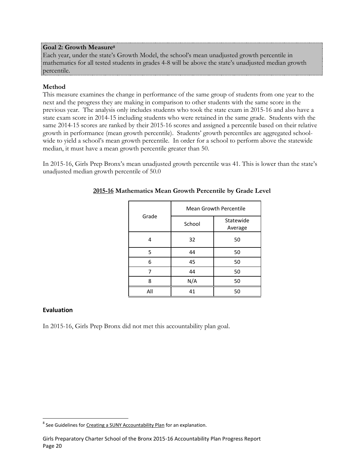#### **Goal 2: Growth Measure<sup>8</sup>**

Each year, under the state's Growth Model, the school's mean unadjusted growth percentile in mathematics for all tested students in grades 4-8 will be above the state's unadjusted median growth percentile.

# **Method**

This measure examines the change in performance of the same group of students from one year to the next and the progress they are making in comparison to other students with the same score in the previous year. The analysis only includes students who took the state exam in 2015-16 and also have a state exam score in 2014-15 including students who were retained in the same grade. Students with the same 2014-15 scores are ranked by their 2015-16 scores and assigned a percentile based on their relative growth in performance (mean growth percentile). Students' growth percentiles are aggregated schoolwide to yield a school's mean growth percentile. In order for a school to perform above the statewide median, it must have a mean growth percentile greater than 50.

In 2015-16, Girls Prep Bronx's mean unadjusted growth percentile was 41. This is lower than the state's unadjusted median growth percentile of 50.0

|       | <b>Mean Growth Percentile</b> |                      |  |
|-------|-------------------------------|----------------------|--|
| Grade | School                        | Statewide<br>Average |  |
| 4     | 32                            | 50                   |  |
| 5     | 44                            | 50                   |  |
| 6     | 45                            | 50                   |  |
|       | 44                            | 50                   |  |
| 8     | N/A                           | 50                   |  |
| All   | 41                            | 50                   |  |

# **2015-16 Mathematics Mean Growth Percentile by Grade Level**

#### **Evaluation**

In 2015-16, Girls Prep Bronx did not met this accountability plan goal.

<sup>&</sup>lt;sup>8</sup> See Guidelines fo[r Creating a SUNY Accountability Plan](http://www.newyorkcharters.org/operate/first-year-schools/accountability-plan/) for an explanation.

Girls Preparatory Charter School of the Bronx 2015-16 Accountability Plan Progress Report Page 20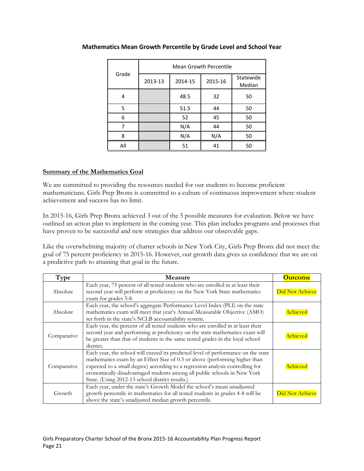| Grade | <b>Mean Growth Percentile</b> |         |         |                     |  |  |  |
|-------|-------------------------------|---------|---------|---------------------|--|--|--|
|       | 2013-13                       | 2014-15 | 2015-16 | Statewide<br>Median |  |  |  |
| 4     |                               | 48.5    | 32      | 50                  |  |  |  |
| 5     |                               | 51.5    | 44      | 50                  |  |  |  |
| 6     |                               | 52      | 45      | 50                  |  |  |  |
| 7     |                               | N/A     | 44      | 50                  |  |  |  |
| 8     |                               | N/A     | N/A     | 50                  |  |  |  |
| All   |                               | 51      | 41      | 50                  |  |  |  |

# **Mathematics Mean Growth Percentile by Grade Level and School Year**

# **Summary of the Mathematics Goal**

We are committed to providing the resources needed for our students to become proficient mathematicians. Girls Prep Bronx is committed to a culture of continuous improvement where student achievement and success has no limit.

In 2015-16, Girls Prep Bronx achieved 3 out of the 5 possible measures for evaluation. Below we have outlined an action plan to implement in the coming year. This plan includes programs and processes that have proven to be successful and new strategies that address our observable gaps.

Like the overwhelming majority of charter schools in New York City, Girls Prep Bronx did not meet the goal of 75 percent proficiency in 2015-16. However, our growth data gives us confidence that we are on a predictive path to attaining that goal in the future.

| Type        | <b>Measure</b>                                                                                                                                                                                                                                                                                                                                                                   | <b>Outcome</b>  |
|-------------|----------------------------------------------------------------------------------------------------------------------------------------------------------------------------------------------------------------------------------------------------------------------------------------------------------------------------------------------------------------------------------|-----------------|
| Absolute    | Each year, 75 percent of all tested students who are enrolled in at least their<br>second year will perform at proficiency on the New York State mathematics<br>exam for grades 3-8.                                                                                                                                                                                             | Did Not Achieve |
| Absolute    | Each year, the school's aggregate Performance Level Index (PLI) on the state<br>mathematics exam will meet that year's Annual Measurable Objective (AMO)<br>set forth in the state's NCLB accountability system.                                                                                                                                                                 | Achieved        |
| Comparative | Each year, the percent of all tested students who are enrolled in at least their<br>second year and performing at proficiency on the state mathematics exam will<br>be greater than that of students in the same tested grades in the local school<br>district.                                                                                                                  | Achieved        |
| Comparative | Each year, the school will exceed its predicted level of performance on the state<br>mathematics exam by an Effect Size of 0.3 or above (performing higher than<br>expected to a small degree) according to a regression analysis controlling for<br>economically disadvantaged students among all public schools in New York<br>State. (Using 2012-13 school district results.) | Achieved        |
| Growth      | Each year, under the state's Growth Model the school's mean unadjusted<br>growth percentile in mathematics for all tested students in grades 4-8 will be<br>above the state's unadjusted median growth percentile.                                                                                                                                                               | Did Not Achieve |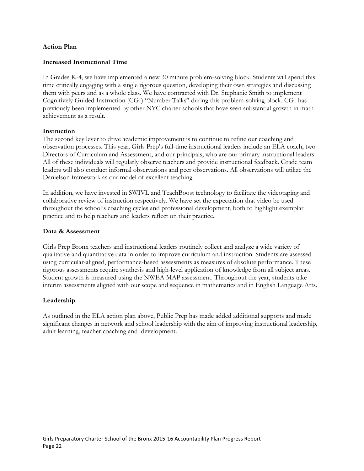#### **Action Plan**

#### **Increased Instructional Time**

In Grades K-4, we have implemented a new 30 minute problem-solving block. Students will spend this time critically engaging with a single rigorous question, developing their own strategies and discussing them with peers and as a whole class. We have contracted with Dr. Stephanie Smith to implement Cognitively Guided Instruction (CGI) "Number Talks" during this problem-solving block. CGI has previously been implemented by other NYC charter schools that have seen substantial growth in math achievement as a result.

#### **Instruction**

The second key lever to drive academic improvement is to continue to refine our coaching and observation processes. This year, Girls Prep's full-time instructional leaders include an ELA coach, two Directors of Curriculum and Assessment, and our principals, who are our primary instructional leaders. All of these individuals will regularly observe teachers and provide instructional feedback. Grade team leaders will also conduct informal observations and peer observations. All observations will utilize the Danielson framework as our model of excellent teaching.

In addition, we have invested in SWIVL and TeachBoost technology to facilitate the videotaping and collaborative review of instruction respectively. We have set the expectation that video be used throughout the school's coaching cycles and professional development, both to highlight exemplar practice and to help teachers and leaders reflect on their practice.

#### **Data & Assessment**

Girls Prep Bronx teachers and instructional leaders routinely collect and analyze a wide variety of qualitative and quantitative data in order to improve curriculum and instruction. Students are assessed using curricular-aligned, performance-based assessments as measures of absolute performance. These rigorous assessments require synthesis and high-level application of knowledge from all subject areas. Student growth is measured using the NWEA MAP assessment. Throughout the year, students take interim assessments aligned with our scope and sequence in mathematics and in English Language Arts.

#### **Leadership**

As outlined in the ELA action plan above, Public Prep has made added additional supports and made significant changes in network and school leadership with the aim of improving instructional leadership, adult learning, teacher coaching and development.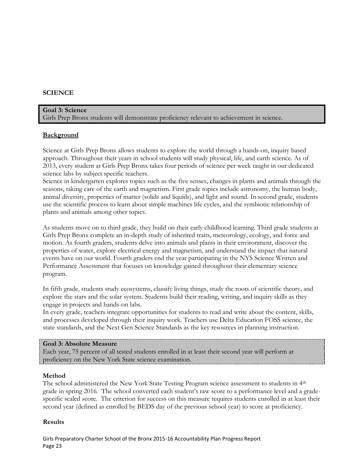# **SCIENCE**

#### **Goal 3: Science** Girls Prep Bronx students will demonstrate proficiency relevant to achievement in science.

#### **Background**

Science at Girls Prep Bronx allows students to explore the world through a hands-on, inquiry based approach. Throughout their years in school students will study physical, life, and earth science. As of 2013, every student at Girls Prep Bronx takes four periods of science per week taught in our dedicated science labs by subject specific teachers.

Science in kindergarten explores topics such as the five senses, changes in plants and animals through the seasons, taking care of the earth and magnetism. First grade topics include astronomy, the human body, animal diversity, properties of matter (solids and liquids), and light and sound. In second grade, students use the scientific process to learn about simple machines life cycles, and the symbiotic relationship of plants and animals among other topics.

As students move on to third grade, they build on their early childhood learning. Third grade students at Girls Prep Bronx complete an in-depth study of inherited traits, meteorology, ecology, and force and motion. As fourth graders, students delve into animals and plants in their environment, discover the properties of water, explore electrical energy and magnetism, and understand the impact that natural events have on our world. Fourth graders end the year participating in the NYS Science Written and Performance Assessment that focuses on knowledge gained throughout their elementary science program.

In fifth grade, students study ecosystems, classify living things, study the roots of scientific theory, and explore the stars and the solar system. Students build their reading, writing, and inquiry skills as they engage in projects and hands-on labs.

In every grade, teachers integrate opportunities for students to read and write about the content, skills, and processes developed through their inquiry work. Teachers use Delta Education FOSS science, the state standards, and the Next Gen Science Standards as the key resources in planning instruction.

#### **Goal 3: Absolute Measure**

Each year, 75 percent of all tested students enrolled in at least their second year will perform at proficiency on the New York State science examination.

#### **Method**

The school administered the New York State Testing Program science assessment to students in 4th grade in spring 2016. The school converted each student's raw score to a performance level and a gradespecific scaled score. The criterion for success on this measure requires students enrolled in at least their second year (defined as enrolled by BEDS day of the previous school year) to score at proficiency.

#### **Results**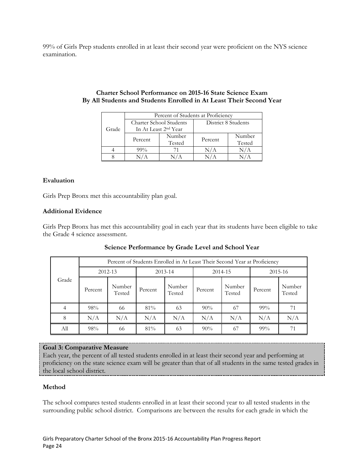99% of Girls Prep students enrolled in at least their second year were proficient on the NYS science examination.

|       | Percent of Students at Proficiency |                                  |                     |        |  |  |
|-------|------------------------------------|----------------------------------|---------------------|--------|--|--|
|       | Charter School Students            |                                  | District 8 Students |        |  |  |
| Grade |                                    | In At Least 2 <sup>nd</sup> Year |                     |        |  |  |
|       | Percent                            | Number                           | Percent             | Number |  |  |
|       |                                    | Tested                           |                     | Tested |  |  |
|       | $99\%$                             |                                  | J/A                 | N/A    |  |  |
|       |                                    |                                  |                     |        |  |  |

## **Charter School Performance on 2015-16 State Science Exam By All Students and Students Enrolled in At Least Their Second Year**

# **Evaluation**

Girls Prep Bronx met this accountability plan goal.

# **Additional Evidence**

Girls Prep Bronx has met this accountability goal in each year that its students have been eligible to take the Grade 4 science assessment.

|       | Percent of Students Enrolled in At Least Their Second Year at Proficiency |                  |             |                  |         |                  |         |                  |  |
|-------|---------------------------------------------------------------------------|------------------|-------------|------------------|---------|------------------|---------|------------------|--|
| Grade | 2012-13                                                                   |                  | $2013 - 14$ |                  | 2014-15 |                  | 2015-16 |                  |  |
|       | Percent                                                                   | Number<br>Tested | Percent     | Number<br>Tested | Percent | Number<br>Tested | Percent | Number<br>Tested |  |
|       | 98%                                                                       | 66               | 81%         | 63               | 90%     | 67               | $99\%$  | 71               |  |
| 8     | N/A                                                                       | N/A              | N/A         | N/A              | N/A     | N/A              | N/A     | N/A              |  |
| All   | 98%                                                                       | 66               | 81%         | 63               | $90\%$  | 67               | $99\%$  | 71               |  |

# **Science Performance by Grade Level and School Year**

# **Goal 3: Comparative Measure**

Each year, the percent of all tested students enrolled in at least their second year and performing at proficiency on the state science exam will be greater than that of all students in the same tested grades in the local school district.

# **Method**

The school compares tested students enrolled in at least their second year to all tested students in the surrounding public school district. Comparisons are between the results for each grade in which the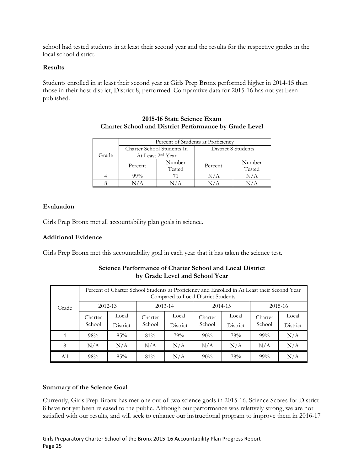school had tested students in at least their second year and the results for the respective grades in the local school district.

#### **Results**

Students enrolled in at least their second year at Girls Prep Bronx performed higher in 2014-15 than those in their host district, District 8, performed. Comparative data for 2015-16 has not yet been published.

|       | Percent of Students at Proficiency |                               |                     |        |  |  |
|-------|------------------------------------|-------------------------------|---------------------|--------|--|--|
| Grade | Charter School Students In         |                               | District 8 Students |        |  |  |
|       |                                    | At Least 2 <sup>nd</sup> Year |                     |        |  |  |
|       | Percent                            | Number                        | Percent             | Number |  |  |
|       |                                    | Tested                        |                     | Tested |  |  |
|       | $99\%$                             |                               | N/A                 |        |  |  |
|       |                                    |                               |                     |        |  |  |

# **2015-16 State Science Exam Charter School and District Performance by Grade Level**

# **Evaluation**

Girls Prep Bronx met all accountability plan goals in science.

# **Additional Evidence**

Girls Prep Bronx met this accountability goal in each year that it has taken the science test.

|       |                   | Percent of Charter School Students at Proficiency and Enrolled in At Least their Second Year<br>Compared to Local District Students |                   |                   |                   |                   |                   |                   |  |
|-------|-------------------|-------------------------------------------------------------------------------------------------------------------------------------|-------------------|-------------------|-------------------|-------------------|-------------------|-------------------|--|
| Grade |                   | 2012-13                                                                                                                             |                   | $2013 - 14$       |                   | 2014-15           |                   | $2015 - 16$       |  |
|       | Charter<br>School | Local<br>District                                                                                                                   | Charter<br>School | Local<br>District | Charter<br>School | Local<br>District | Charter<br>School | Local<br>District |  |
| 4     | 98%               | 85%                                                                                                                                 | $81\%$            | 79%               | 90%               | 78%               | $99\%$            | N/A               |  |
| 8     | N/A               | N/A                                                                                                                                 | N/A               | N/A               | N/A               | N/A               | N/A               | N/A               |  |
| Аll   | 98%               | 85%                                                                                                                                 | $81\%$            | N/A               | $90\%$            | 78%               | $99\%$            | N/A               |  |

# **Science Performance of Charter School and Local District by Grade Level and School Year**

#### **Summary of the Science Goal**

Currently, Girls Prep Bronx has met one out of two science goals in 2015-16. Science Scores for District 8 have not yet been released to the public. Although our performance was relatively strong, we are not satisfied with our results, and will seek to enhance our instructional program to improve them in 2016-17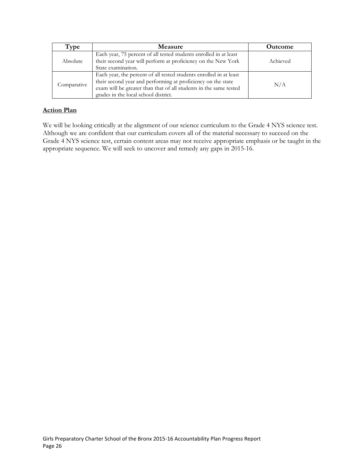| Type        | <b>Measure</b>                                                                                                                                                                                                                                  | <b>Outcome</b> |
|-------------|-------------------------------------------------------------------------------------------------------------------------------------------------------------------------------------------------------------------------------------------------|----------------|
| Absolute    | Each year, 75 percent of all tested students enrolled in at least<br>their second year will perform at proficiency on the New York<br>State examination.                                                                                        | Achieved       |
| Comparative | Each year, the percent of all tested students enrolled in at least<br>their second year and performing at proficiency on the state<br>exam will be greater than that of all students in the same tested<br>grades in the local school district. | N/A            |

# **Action Plan**

We will be looking critically at the alignment of our science curriculum to the Grade 4 NYS science test. Although we are confident that our curriculum covers all of the material necessary to succeed on the Grade 4 NYS science test, certain content areas may not receive appropriate emphasis or be taught in the appropriate sequence. We will seek to uncover and remedy any gaps in 2015-16.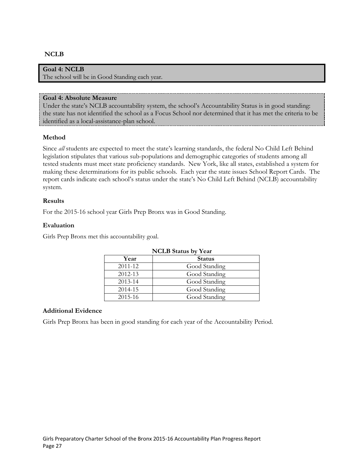# **NCLB**

#### **Goal 4: NCLB**

The school will be in Good Standing each year.

#### **Goal 4: Absolute Measure**

Under the state's NCLB accountability system, the school's Accountability Status is in good standing: the state has not identified the school as a Focus School nor determined that it has met the criteria to be identified as a local-assistance-plan school.

#### **Method**

Since *all* students are expected to meet the state's learning standards, the federal No Child Left Behind legislation stipulates that various sub-populations and demographic categories of students among all tested students must meet state proficiency standards. New York, like all states, established a system for making these determinations for its public schools. Each year the state issues School Report Cards. The report cards indicate each school's status under the state's No Child Left Behind (NCLB) accountability system.

#### **Results**

For the 2015-16 school year Girls Prep Bronx was in Good Standing.

#### **Evaluation**

Girls Prep Bronx met this accountability goal.

| <b>NCLB</b> Status by Year |               |  |  |  |
|----------------------------|---------------|--|--|--|
| Year                       | <b>Status</b> |  |  |  |
| 2011-12                    | Good Standing |  |  |  |
| 2012-13                    | Good Standing |  |  |  |
| 2013-14                    | Good Standing |  |  |  |
| 2014-15                    | Good Standing |  |  |  |
| 2015-16                    | Good Standing |  |  |  |

#### **Additional Evidence**

Girls Prep Bronx has been in good standing for each year of the Accountability Period.